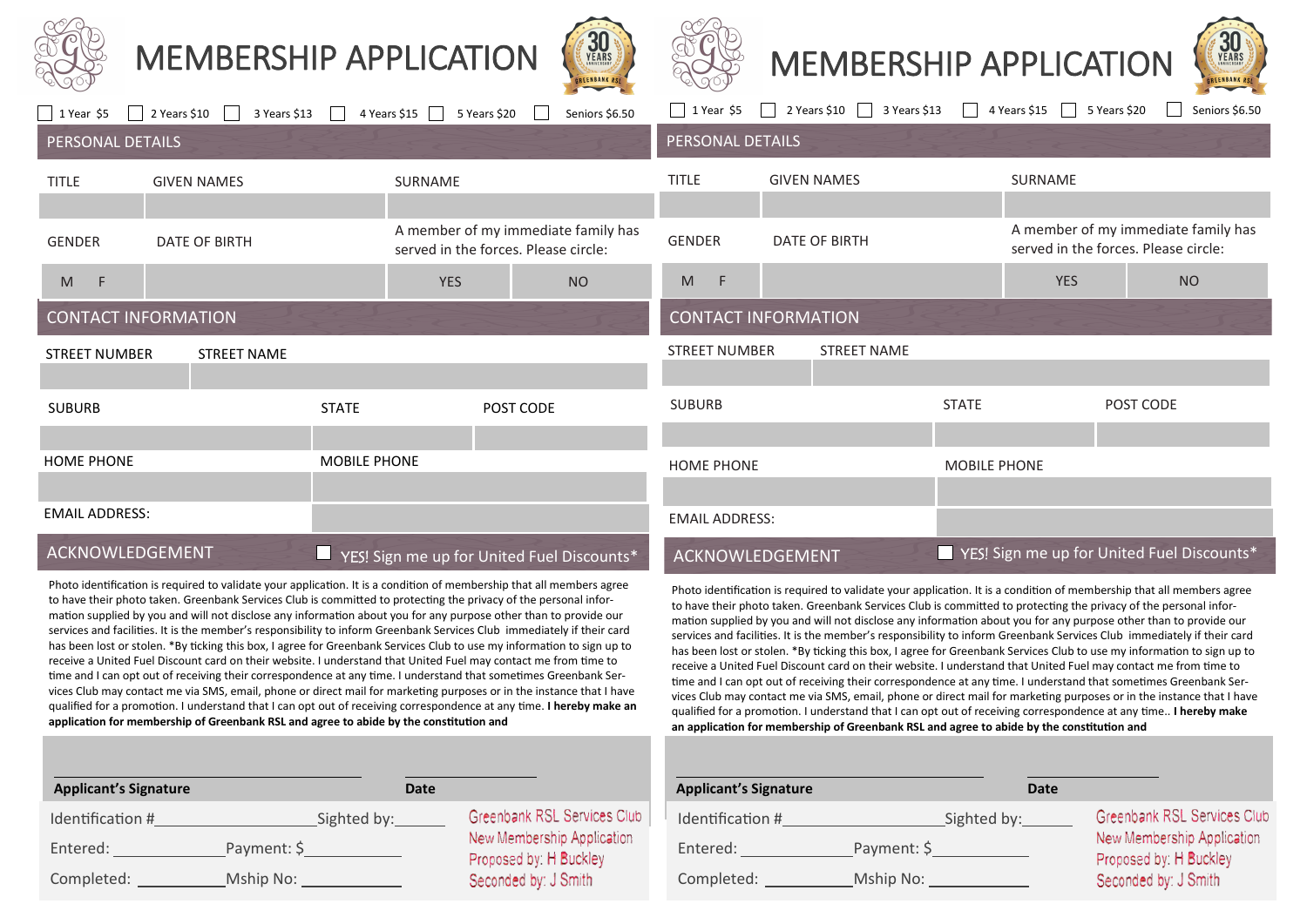

# MEMBERSHIP APPLICATION







| 1 Year \$5                                 | 2 Years \$10<br>3 Years \$13 | 4 Years $$15$                                   | Seniors \$6.50<br>5 Years \$20                                              | 1 Year \$5                                                                                                      | 2 Years \$10<br>3 Years \$13 | 4 Years \$15                               | 5 Years \$20<br>Seniors \$6.50                                              |
|--------------------------------------------|------------------------------|-------------------------------------------------|-----------------------------------------------------------------------------|-----------------------------------------------------------------------------------------------------------------|------------------------------|--------------------------------------------|-----------------------------------------------------------------------------|
| PERSONAL DETAILS                           |                              |                                                 |                                                                             | PERSONAL DETAILS                                                                                                |                              |                                            |                                                                             |
| <b>TITLE</b>                               | <b>GIVEN NAMES</b>           | SURNAME                                         |                                                                             | <b>TITLE</b>                                                                                                    | <b>GIVEN NAMES</b>           | SURNAME                                    |                                                                             |
|                                            |                              |                                                 |                                                                             |                                                                                                                 |                              |                                            |                                                                             |
| <b>GENDER</b>                              | DATE OF BIRTH                |                                                 | A member of my immediate family has<br>served in the forces. Please circle: | <b>GENDER</b>                                                                                                   | DATE OF BIRTH                |                                            | A member of my immediate family has<br>served in the forces. Please circle: |
| M<br>$-F$                                  |                              | <b>YES</b>                                      | <b>NO</b>                                                                   | $\mathsf{M}% _{T}=\mathsf{M}_{T}\!\left( a,b\right) ,\ \mathsf{M}_{T}=\mathsf{M}_{T}\!\left( a,b\right) ,$<br>F |                              | <b>YES</b>                                 | <b>NO</b>                                                                   |
| <b>CONTACT INFORMATION</b>                 |                              |                                                 |                                                                             |                                                                                                                 | <b>CONTACT INFORMATION</b>   |                                            |                                                                             |
| <b>STREET NAME</b><br><b>STREET NUMBER</b> |                              |                                                 | <b>STREET NUMBER</b>                                                        | <b>STREET NAME</b>                                                                                              |                              |                                            |                                                                             |
|                                            |                              |                                                 |                                                                             |                                                                                                                 |                              |                                            |                                                                             |
| <b>SUBURB</b>                              |                              | <b>STATE</b>                                    | POST CODE                                                                   | <b>SUBURB</b>                                                                                                   |                              | <b>STATE</b>                               | POST CODE                                                                   |
|                                            |                              |                                                 |                                                                             |                                                                                                                 |                              |                                            |                                                                             |
| <b>HOME PHONE</b>                          |                              | MOBILE PHONE                                    |                                                                             | <b>HOME PHONE</b>                                                                                               |                              | <b>MOBILE PHONE</b>                        |                                                                             |
|                                            |                              |                                                 |                                                                             |                                                                                                                 |                              |                                            |                                                                             |
| <b>EMAIL ADDRESS:</b>                      |                              |                                                 |                                                                             | <b>EMAIL ADDRESS:</b>                                                                                           |                              |                                            |                                                                             |
| ACKNOWLEDGEMENT                            |                              | U<br>YES! Sign me up for United Fuel Discounts* |                                                                             | ACKNOWLEDGEMENT                                                                                                 |                              | YES! Sign me up for United Fuel Discounts* |                                                                             |

Photo identification is required to validate your application. It is a condition of membership that all members agree to have their photo taken. Greenbank Services Club is committed to protecting the privacy of the personal information supplied by you and will not disclose any information about you for any purpose other than to provide our services and facilities. It is the member's responsibility to inform Greenbank Services Club immediately if their card has been lost or stolen. \*By ticking this box, I agree for Greenbank Services Club to use my information to sign up to receive a United Fuel Discount card on their website. I understand that United Fuel may contact me from time to time and I can opt out of receiving their correspondence at any time. I understand that sometimes Greenbank Services Club may contact me via SMS, email, phone or direct mail for marketing purposes or in the instance that I have qualified for a promotion. I understand that I can opt out of receiving correspondence at any time.. **I hereby make an application for membership of Greenbank RSL and agree to abide by the constitution and** 

| <b>Applicant's Signature</b> | Date        |                                                      |
|------------------------------|-------------|------------------------------------------------------|
| Identification #             | Sighted by: | Greenbank RSL Services Club                          |
| Entered:                     | Payment: \$ | New Membership Application<br>Proposed by: H Buckley |
| Completed:                   | Mship No:   | Seconded by: J Smith                                 |

WES! Sign me up for United Fuel Discounts\* Yes ACKNOWLEDGEMENT WESTERDAY Sign me up for United Fuel Discounts

Photo identification is required to validate your application. It is a condition of membership that all members agree to have their photo taken. Greenbank Services Club is committed to protecting the privacy of the personal information supplied by you and will not disclose any information about you for any purpose other than to provide our services and facilities. It is the member's responsibility to inform Greenbank Services Club immediately if their card has been lost or stolen. \*By ticking this box, I agree for Greenbank Services Club to use my information to sign up to receive a United Fuel Discount card on their website. I understand that United Fuel may contact me from time to time and I can opt out of receiving their correspondence at any time. I understand that sometimes Greenbank Services Club may contact me via SMS, email, phone or direct mail for marketing purposes or in the instance that I have qualified for a promotion. I understand that I can opt out of receiving correspondence at any time. **I hereby make an application for membership of Greenbank RSL and agree to abide by the constitution and** 

| <b>Applicant's Signature</b> |             | Date |                                                      |  |
|------------------------------|-------------|------|------------------------------------------------------|--|
| Identification #             | Sighted by: |      | Greenbank RSL Services Clu                           |  |
| Entered:                     | Payment: \$ |      | New Membership Application<br>Proposed by: H Buckley |  |
| Completed:                   | Mship No:   |      | Seconded by: J Smith                                 |  |